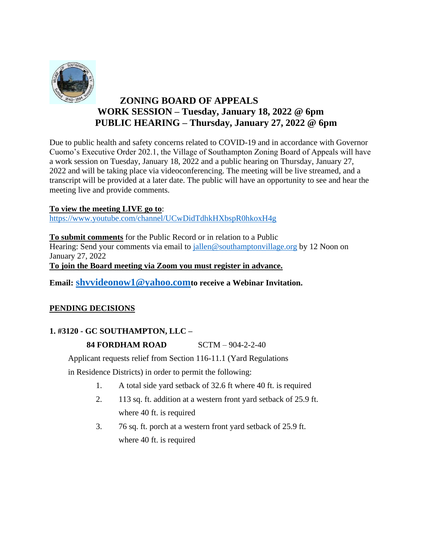

# **ZONING BOARD OF APPEALS WORK SESSION – Tuesday, January 18, 2022 @ 6pm PUBLIC HEARING – Thursday, January 27, 2022 @ 6pm**

Due to public health and safety concerns related to COVID-19 and in accordance with Governor Cuomo's Executive Order 202.1, the Village of Southampton Zoning Board of Appeals will have a work session on Tuesday, January 18, 2022 and a public hearing on Thursday, January 27, 2022 and will be taking place via videoconferencing. The meeting will be live streamed, and a transcript will be provided at a later date. The public will have an opportunity to see and hear the meeting live and provide comments.

## **To view the meeting LIVE go to**:

<https://www.youtube.com/channel/UCwDidTdhkHXbspR0hkoxH4g>

**To submit comments** for the Public Record or in relation to a Public Hearing: Send your comments via email to [jallen@southamptonvillage.org](mailto:jallen@southamptonvillage.org) by 12 Noon on January 27, 2022 **To join the Board meeting via Zoom you must register in advance.** 

**Email: shvvideonow1@yahoo.comto receive a Webinar Invitation.** 

# **PENDING DECISIONS**

## **1. #3120 - GC SOUTHAMPTON, LLC –**

## **84 FORDHAM ROAD** SCTM – 904-2-2-40

Applicant requests relief from Section 116-11.1 (Yard Regulations

in Residence Districts) in order to permit the following:

- 1. A total side yard setback of 32.6 ft where 40 ft. is required
- 2. 113 sq. ft. addition at a western front yard setback of 25.9 ft. where 40 ft. is required
- 3. 76 sq. ft. porch at a western front yard setback of 25.9 ft. where 40 ft. is required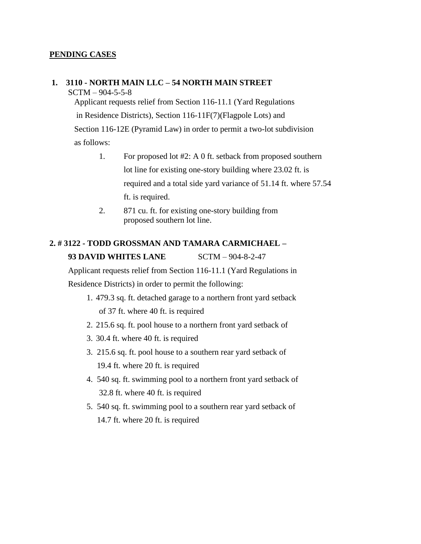#### **PENDING CASES**

#### **1. 3110 - NORTH MAIN LLC – 54 NORTH MAIN STREET**

 $SCTM - 904 - 5 - 5 - 8$ 

Applicant requests relief from Section 116-11.1 (Yard Regulations in Residence Districts), Section 116-11F(7)(Flagpole Lots) and Section 116-12E (Pyramid Law) in order to permit a two-lot subdivision as follows:

- 1. For proposed lot #2: A 0 ft. setback from proposed southern lot line for existing one-story building where 23.02 ft. is required and a total side yard variance of 51.14 ft. where 57.54 ft. is required.
- 2. 871 cu. ft. for existing one-story building from proposed southern lot line.

# **2. # 3122 - TODD GROSSMAN AND TAMARA CARMICHAEL – 93 DAVID WHITES LANE** SCTM – 904-8-2-47

Applicant requests relief from Section 116-11.1 (Yard Regulations in Residence Districts) in order to permit the following:

- 1. 479.3 sq. ft. detached garage to a northern front yard setback of 37 ft. where 40 ft. is required
- 2. 215.6 sq. ft. pool house to a northern front yard setback of
- 3. 30.4 ft. where 40 ft. is required
- 3. 215.6 sq. ft. pool house to a southern rear yard setback of 19.4 ft. where 20 ft. is required
- 4. 540 sq. ft. swimming pool to a northern front yard setback of 32.8 ft. where 40 ft. is required
- 5. 540 sq. ft. swimming pool to a southern rear yard setback of 14.7 ft. where 20 ft. is required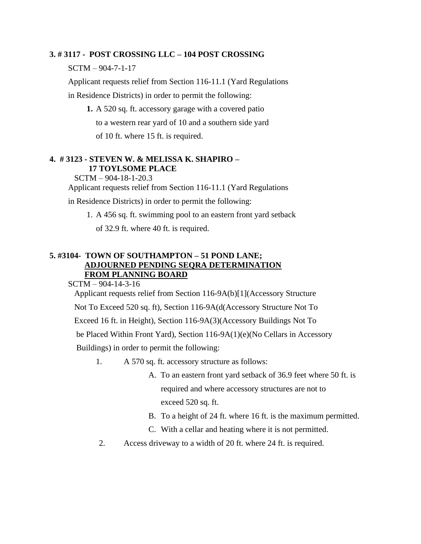#### **3. # 3117 - POST CROSSING LLC – 104 POST CROSSING**

SCTM – 904-7-1-17

Applicant requests relief from Section 116-11.1 (Yard Regulations in Residence Districts) in order to permit the following:

**1.** A 520 sq. ft. accessory garage with a covered patio to a western rear yard of 10 and a southern side yard of 10 ft. where 15 ft. is required.

## **4. # 3123 - STEVEN W. & MELISSA K. SHAPIRO – 17 TOYLSOME PLACE**

SCTM – 904-18-1-20.3 Applicant requests relief from Section 116-11.1 (Yard Regulations

in Residence Districts) in order to permit the following:

1. A 456 sq. ft. swimming pool to an eastern front yard setback

of 32.9 ft. where 40 ft. is required.

## **5. #3104- TOWN OF SOUTHAMPTON – 51 POND LANE; ADJOURNED PENDING SEQRA DETERMINATION FROM PLANNING BOARD**

SCTM – 904-14-3-16

Applicant requests relief from Section 116-9A(b)[1](Accessory Structure

Not To Exceed 520 sq. ft), Section 116-9A(d(Accessory Structure Not To

Exceed 16 ft. in Height), Section 116-9A(3)(Accessory Buildings Not To

be Placed Within Front Yard), Section 116-9A(1)(e)(No Cellars in Accessory

Buildings) in order to permit the following:

- 1. A 570 sq. ft. accessory structure as follows:
	- A. To an eastern front yard setback of 36.9 feet where 50 ft. is required and where accessory structures are not to exceed 520 sq. ft.
	- B. To a height of 24 ft. where 16 ft. is the maximum permitted.
	- C. With a cellar and heating where it is not permitted.
- 2. Access driveway to a width of 20 ft. where 24 ft. is required.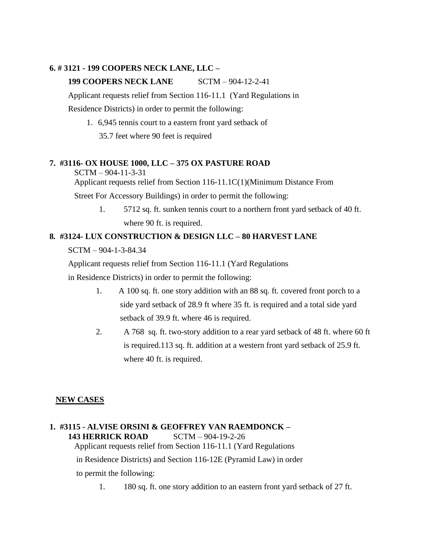### **6. # 3121 - 199 COOPERS NECK LANE, LLC –**

## **199 COOPERS NECK LANE** SCTM – 904-12-2-41

Applicant requests relief from Section 116-11.1 (Yard Regulations in

Residence Districts) in order to permit the following:

1. 6,945 tennis court to a eastern front yard setback of 35.7 feet where 90 feet is required

## **7. #3116- OX HOUSE 1000, LLC – 375 OX PASTURE ROAD**

SCTM – 904-11-3-31

Applicant requests relief from Section 116-11.1C(1)(Minimum Distance From

Street For Accessory Buildings) in order to permit the following:

1. 5712 sq. ft. sunken tennis court to a northern front yard setback of 40 ft. where 90 ft. is required.

#### **8***.* **#3124- LUX CONSTRUCTION & DESIGN LLC – 80 HARVEST LANE**

SCTM – 904-1-3-84.34

Applicant requests relief from Section 116-11.1 (Yard Regulations

in Residence Districts) in order to permit the following:

- 1. A 100 sq. ft. one story addition with an 88 sq. ft. covered front porch to a side yard setback of 28.9 ft where 35 ft. is required and a total side yard setback of 39.9 ft. where 46 is required.
- 2. A 768 sq. ft. two-story addition to a rear yard setback of 48 ft. where 60 ft is required.113 sq. ft. addition at a western front yard setback of 25.9 ft. where 40 ft. is required.

## **NEW CASES**

#### **1. #3115 - ALVISE ORSINI & GEOFFREY VAN RAEMDONCK – 143 HERRICK ROAD** SCTM – 904-19-2-26 Applicant requests relief from Section 116-11.1 (Yard Regulations

in Residence Districts) and Section 116-12E (Pyramid Law) in order

to permit the following:

1. 180 sq. ft. one story addition to an eastern front yard setback of 27 ft.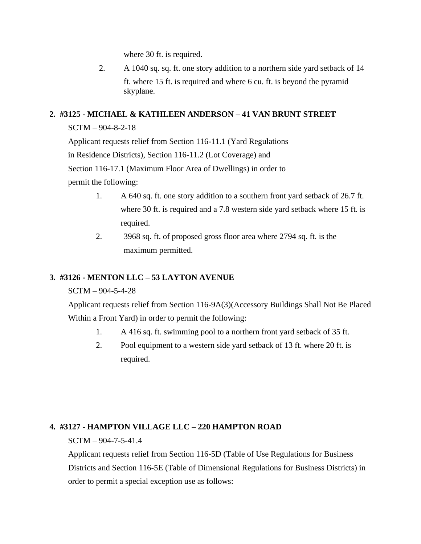where 30 ft. is required.

2. A 1040 sq. sq. ft. one story addition to a northern side yard setback of 14 ft. where 15 ft. is required and where 6 cu. ft. is beyond the pyramid skyplane.

## **2***.* **#3125 - MICHAEL & KATHLEEN ANDERSON – 41 VAN BRUNT STREET**

## SCTM – 904-8-2-18

Applicant requests relief from Section 116-11.1 (Yard Regulations

in Residence Districts), Section 116-11.2 (Lot Coverage) and

Section 116-17.1 (Maximum Floor Area of Dwellings) in order to

permit the following:

- 1. A 640 sq. ft. one story addition to a southern front yard setback of 26.7 ft. where 30 ft. is required and a 7.8 western side yard setback where 15 ft. is required.
- 2. 3968 sq. ft. of proposed gross floor area where 2794 sq. ft. is the maximum permitted.

# **3***.* **#3126 - MENTON LLC – 53 LAYTON AVENUE**

## SCTM – 904-5-4-28

Applicant requests relief from Section 116-9A(3)(Accessory Buildings Shall Not Be Placed Within a Front Yard) in order to permit the following:

- 1. A 416 sq. ft. swimming pool to a northern front yard setback of 35 ft.
- 2. Pool equipment to a western side yard setback of 13 ft. where 20 ft. is required.

## **4***.* **#3127 - HAMPTON VILLAGE LLC – 220 HAMPTON ROAD**

## SCTM – 904-7-5-41.4

Applicant requests relief from Section 116-5D (Table of Use Regulations for Business Districts and Section 116-5E (Table of Dimensional Regulations for Business Districts) in order to permit a special exception use as follows: